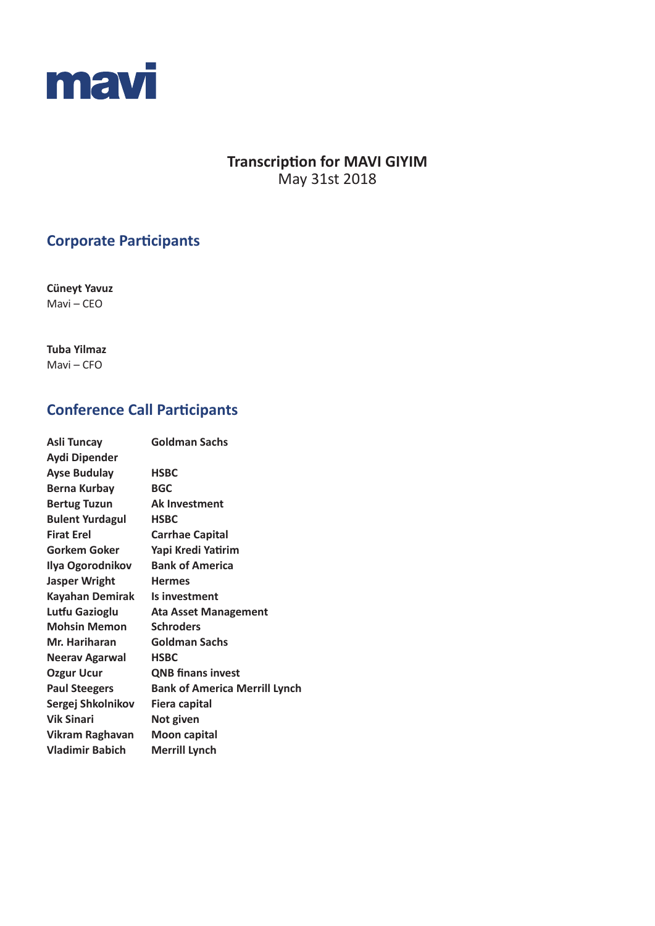

# **Transcription for MAVI GIYIM** May 31st 2018

# **Corporate Participants**

**Cüneyt Yavuz**  Mavi – CEO

**Tuba Yilmaz**  Mavi – CFO

# **Conference Call Participants**

| Asli Tuncay            | <b>Goldman Sachs</b>                 |
|------------------------|--------------------------------------|
| Aydi Dipender          |                                      |
| <b>Ayse Budulay</b>    | <b>HSBC</b>                          |
| <b>Berna Kurbay</b>    | <b>BGC</b>                           |
| <b>Bertug Tuzun</b>    | <b>Ak Investment</b>                 |
| <b>Bulent Yurdagul</b> | <b>HSBC</b>                          |
| <b>Firat Erel</b>      | <b>Carrhae Capital</b>               |
| Gorkem Goker           | Yapi Kredi Yatirim                   |
| Ilya Ogorodnikov       | <b>Bank of America</b>               |
| <b>Jasper Wright</b>   | <b>Hermes</b>                        |
| <b>Kayahan Demirak</b> | Is investment                        |
| Lutfu Gazioglu         | <b>Ata Asset Management</b>          |
| <b>Mohsin Memon</b>    | <b>Schroders</b>                     |
| Mr. Hariharan          | <b>Goldman Sachs</b>                 |
| <b>Neerav Agarwal</b>  | <b>HSBC</b>                          |
| <b>Ozgur Ucur</b>      | <b>QNB finans invest</b>             |
| <b>Paul Steegers</b>   | <b>Bank of America Merrill Lynch</b> |
| Sergej Shkolnikov      | <b>Fiera capital</b>                 |
| <b>Vik Sinari</b>      | Not given                            |
| Vikram Raghavan        | <b>Moon capital</b>                  |
| <b>Vladimir Babich</b> | <b>Merrill Lynch</b>                 |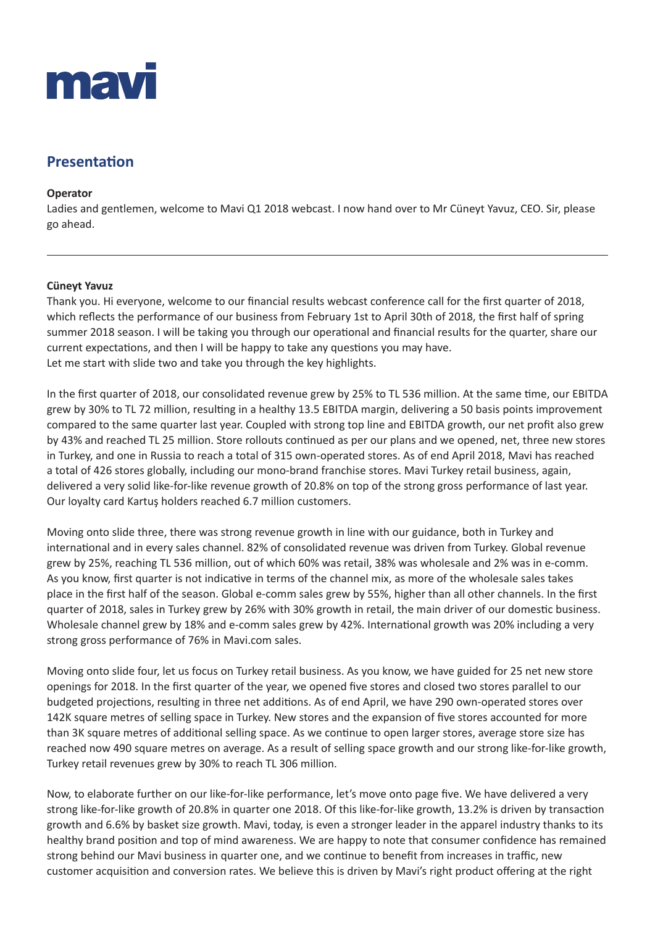

# **Presentation**

#### **Operator**

Ladies and gentlemen, welcome to Mavi Q1 2018 webcast. I now hand over to Mr Cüneyt Yavuz, CEO. Sir, please go ahead.

#### **Cüneyt Yavuz**

Thank you. Hi everyone, welcome to our financial results webcast conference call for the first quarter of 2018, which reflects the performance of our business from February 1st to April 30th of 2018, the first half of spring summer 2018 season. I will be taking you through our operational and financial results for the quarter, share our current expectations, and then I will be happy to take any questions you may have. Let me start with slide two and take you through the key highlights.

In the first quarter of 2018, our consolidated revenue grew by 25% to TL 536 million. At the same time, our EBITDA grew by 30% to TL 72 million, resulting in a healthy 13.5 EBITDA margin, delivering a 50 basis points improvement compared to the same quarter last year. Coupled with strong top line and EBITDA growth, our net profit also grew by 43% and reached TL 25 million. Store rollouts continued as per our plans and we opened, net, three new stores in Turkey, and one in Russia to reach a total of 315 own-operated stores. As of end April 2018, Mavi has reached a total of 426 stores globally, including our mono-brand franchise stores. Mavi Turkey retail business, again, delivered a very solid like-for-like revenue growth of 20.8% on top of the strong gross performance of last year. Our loyalty card Kartuş holders reached 6.7 million customers.

Moving onto slide three, there was strong revenue growth in line with our guidance, both in Turkey and international and in every sales channel. 82% of consolidated revenue was driven from Turkey. Global revenue grew by 25%, reaching TL 536 million, out of which 60% was retail, 38% was wholesale and 2% was in e-comm. As you know, first quarter is not indicative in terms of the channel mix, as more of the wholesale sales takes place in the first half of the season. Global e-comm sales grew by 55%, higher than all other channels. In the first quarter of 2018, sales in Turkey grew by 26% with 30% growth in retail, the main driver of our domestic business. Wholesale channel grew by 18% and e-comm sales grew by 42%. International growth was 20% including a very strong gross performance of 76% in Mavi.com sales.

Moving onto slide four, let us focus on Turkey retail business. As you know, we have guided for 25 net new store openings for 2018. In the first quarter of the year, we opened five stores and closed two stores parallel to our budgeted projections, resulting in three net additions. As of end April, we have 290 own-operated stores over 142K square metres of selling space in Turkey. New stores and the expansion of five stores accounted for more than 3K square metres of additional selling space. As we continue to open larger stores, average store size has reached now 490 square metres on average. As a result of selling space growth and our strong like-for-like growth, Turkey retail revenues grew by 30% to reach TL 306 million.

Now, to elaborate further on our like-for-like performance, let's move onto page five. We have delivered a very strong like-for-like growth of 20.8% in quarter one 2018. Of this like-for-like growth, 13.2% is driven by transaction growth and 6.6% by basket size growth. Mavi, today, is even a stronger leader in the apparel industry thanks to its healthy brand position and top of mind awareness. We are happy to note that consumer confidence has remained strong behind our Mavi business in quarter one, and we continue to benefit from increases in traffic, new customer acquisition and conversion rates. We believe this is driven by Mavi's right product offering at the right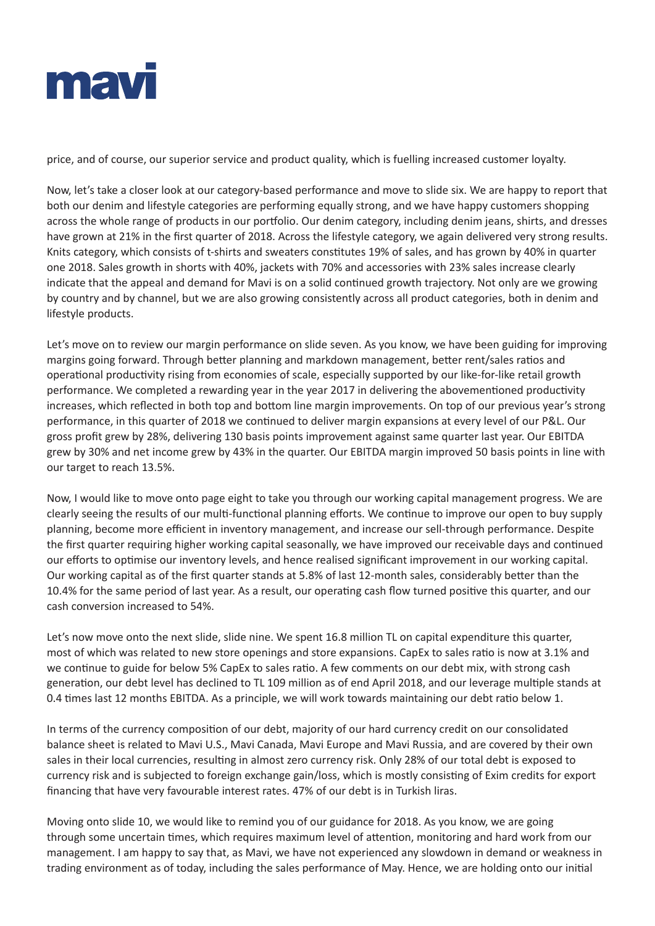

price, and of course, our superior service and product quality, which is fuelling increased customer loyalty.

Now, let's take a closer look at our category-based performance and move to slide six. We are happy to report that both our denim and lifestyle categories are performing equally strong, and we have happy customers shopping across the whole range of products in our portfolio. Our denim category, including denim jeans, shirts, and dresses have grown at 21% in the first quarter of 2018. Across the lifestyle category, we again delivered very strong results. Knits category, which consists of t-shirts and sweaters constitutes 19% of sales, and has grown by 40% in quarter one 2018. Sales growth in shorts with 40%, jackets with 70% and accessories with 23% sales increase clearly indicate that the appeal and demand for Mavi is on a solid continued growth trajectory. Not only are we growing by country and by channel, but we are also growing consistently across all product categories, both in denim and lifestyle products.

Let's move on to review our margin performance on slide seven. As you know, we have been guiding for improving margins going forward. Through better planning and markdown management, better rent/sales ratios and operational productivity rising from economies of scale, especially supported by our like-for-like retail growth performance. We completed a rewarding year in the year 2017 in delivering the abovementioned productivity increases, which reflected in both top and bottom line margin improvements. On top of our previous year's strong performance, in this quarter of 2018 we continued to deliver margin expansions at every level of our P&L. Our gross profit grew by 28%, delivering 130 basis points improvement against same quarter last year. Our EBITDA grew by 30% and net income grew by 43% in the quarter. Our EBITDA margin improved 50 basis points in line with our target to reach 13.5%.

Now, I would like to move onto page eight to take you through our working capital management progress. We are clearly seeing the results of our multi-functional planning efforts. We continue to improve our open to buy supply planning, become more efficient in inventory management, and increase our sell-through performance. Despite the first quarter requiring higher working capital seasonally, we have improved our receivable days and continued our efforts to optimise our inventory levels, and hence realised significant improvement in our working capital. Our working capital as of the first quarter stands at 5.8% of last 12-month sales, considerably better than the 10.4% for the same period of last year. As a result, our operating cash flow turned positive this quarter, and our cash conversion increased to 54%.

Let's now move onto the next slide, slide nine. We spent 16.8 million TL on capital expenditure this quarter, most of which was related to new store openings and store expansions. CapEx to sales ratio is now at 3.1% and we continue to guide for below 5% CapEx to sales ratio. A few comments on our debt mix, with strong cash generation, our debt level has declined to TL 109 million as of end April 2018, and our leverage multiple stands at 0.4 times last 12 months EBITDA. As a principle, we will work towards maintaining our debt ratio below 1.

In terms of the currency composition of our debt, majority of our hard currency credit on our consolidated balance sheet is related to Mavi U.S., Mavi Canada, Mavi Europe and Mavi Russia, and are covered by their own sales in their local currencies, resulting in almost zero currency risk. Only 28% of our total debt is exposed to currency risk and is subjected to foreign exchange gain/loss, which is mostly consisting of Exim credits for export financing that have very favourable interest rates. 47% of our debt is in Turkish liras.

Moving onto slide 10, we would like to remind you of our guidance for 2018. As you know, we are going through some uncertain times, which requires maximum level of attention, monitoring and hard work from our management. I am happy to say that, as Mavi, we have not experienced any slowdown in demand or weakness in trading environment as of today, including the sales performance of May. Hence, we are holding onto our initial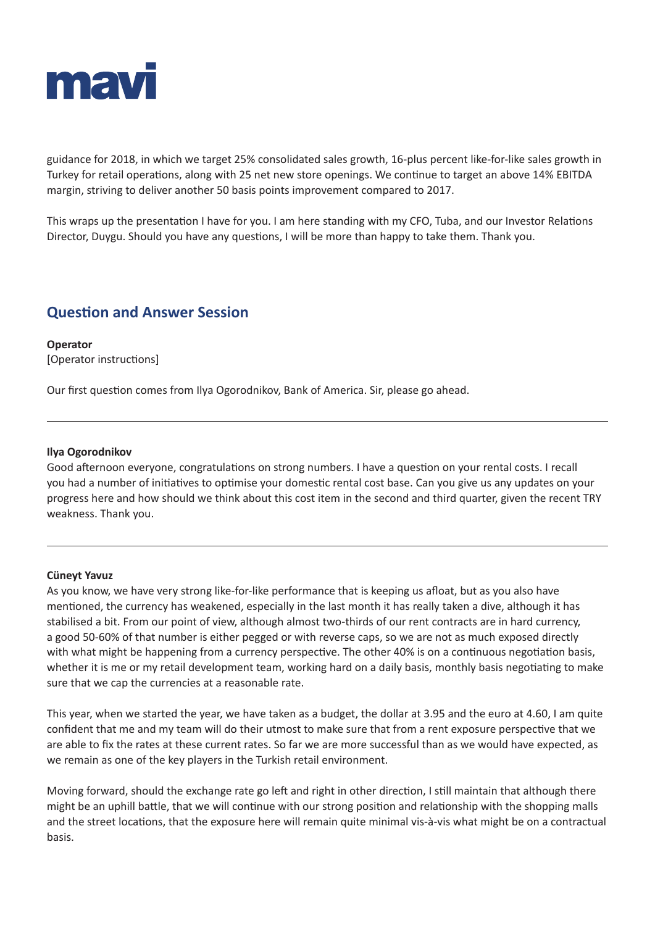

guidance for 2018, in which we target 25% consolidated sales growth, 16-plus percent like-for-like sales growth in Turkey for retail operations, along with 25 net new store openings. We continue to target an above 14% EBITDA margin, striving to deliver another 50 basis points improvement compared to 2017.

This wraps up the presentation I have for you. I am here standing with my CFO, Tuba, and our Investor Relations Director, Duygu. Should you have any questions, I will be more than happy to take them. Thank you.

# **Question and Answer Session**

**Operator** [Operator instructions]

Our first question comes from Ilya Ogorodnikov, Bank of America. Sir, please go ahead.

## **Ilya Ogorodnikov**

Good afternoon everyone, congratulations on strong numbers. I have a question on your rental costs. I recall you had a number of initiatives to optimise your domestic rental cost base. Can you give us any updates on your progress here and how should we think about this cost item in the second and third quarter, given the recent TRY weakness. Thank you.

## **Cüneyt Yavuz**

As you know, we have very strong like-for-like performance that is keeping us afloat, but as you also have mentioned, the currency has weakened, especially in the last month it has really taken a dive, although it has stabilised a bit. From our point of view, although almost two-thirds of our rent contracts are in hard currency, a good 50-60% of that number is either pegged or with reverse caps, so we are not as much exposed directly with what might be happening from a currency perspective. The other 40% is on a continuous negotiation basis, whether it is me or my retail development team, working hard on a daily basis, monthly basis negotiating to make sure that we cap the currencies at a reasonable rate.

This year, when we started the year, we have taken as a budget, the dollar at 3.95 and the euro at 4.60, I am quite confident that me and my team will do their utmost to make sure that from a rent exposure perspective that we are able to fix the rates at these current rates. So far we are more successful than as we would have expected, as we remain as one of the key players in the Turkish retail environment.

Moving forward, should the exchange rate go left and right in other direction, I still maintain that although there might be an uphill battle, that we will continue with our strong position and relationship with the shopping malls and the street locations, that the exposure here will remain quite minimal vis-à-vis what might be on a contractual basis.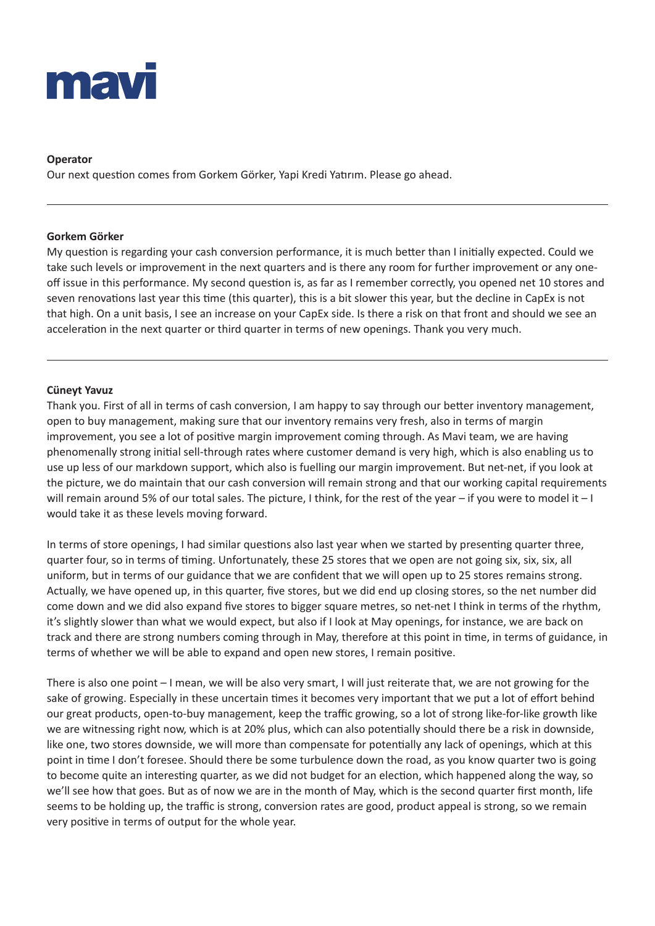

# **Operator**

Our next question comes from Gorkem Görker, Yapi Kredi Yatırım. Please go ahead.

## **Gorkem Görker**

My question is regarding your cash conversion performance, it is much better than I initially expected. Could we take such levels or improvement in the next quarters and is there any room for further improvement or any oneoff issue in this performance. My second question is, as far as I remember correctly, you opened net 10 stores and seven renovations last year this time (this quarter), this is a bit slower this year, but the decline in CapEx is not that high. On a unit basis, I see an increase on your CapEx side. Is there a risk on that front and should we see an acceleration in the next quarter or third quarter in terms of new openings. Thank you very much.

# **Cüneyt Yavuz**

Thank you. First of all in terms of cash conversion, I am happy to say through our better inventory management, open to buy management, making sure that our inventory remains very fresh, also in terms of margin improvement, you see a lot of positive margin improvement coming through. As Mavi team, we are having phenomenally strong initial sell-through rates where customer demand is very high, which is also enabling us to use up less of our markdown support, which also is fuelling our margin improvement. But net-net, if you look at the picture, we do maintain that our cash conversion will remain strong and that our working capital requirements will remain around 5% of our total sales. The picture, I think, for the rest of the year – if you were to model it – I would take it as these levels moving forward.

In terms of store openings, I had similar questions also last year when we started by presenting quarter three, quarter four, so in terms of timing. Unfortunately, these 25 stores that we open are not going six, six, six, all uniform, but in terms of our guidance that we are confident that we will open up to 25 stores remains strong. Actually, we have opened up, in this quarter, five stores, but we did end up closing stores, so the net number did come down and we did also expand five stores to bigger square metres, so net-net I think in terms of the rhythm, it's slightly slower than what we would expect, but also if I look at May openings, for instance, we are back on track and there are strong numbers coming through in May, therefore at this point in time, in terms of guidance, in terms of whether we will be able to expand and open new stores, I remain positive.

There is also one point – I mean, we will be also very smart, I will just reiterate that, we are not growing for the sake of growing. Especially in these uncertain times it becomes very important that we put a lot of effort behind our great products, open-to-buy management, keep the traffic growing, so a lot of strong like-for-like growth like we are witnessing right now, which is at 20% plus, which can also potentially should there be a risk in downside, like one, two stores downside, we will more than compensate for potentially any lack of openings, which at this point in time I don't foresee. Should there be some turbulence down the road, as you know quarter two is going to become quite an interesting quarter, as we did not budget for an election, which happened along the way, so we'll see how that goes. But as of now we are in the month of May, which is the second quarter first month, life seems to be holding up, the traffic is strong, conversion rates are good, product appeal is strong, so we remain very positive in terms of output for the whole year.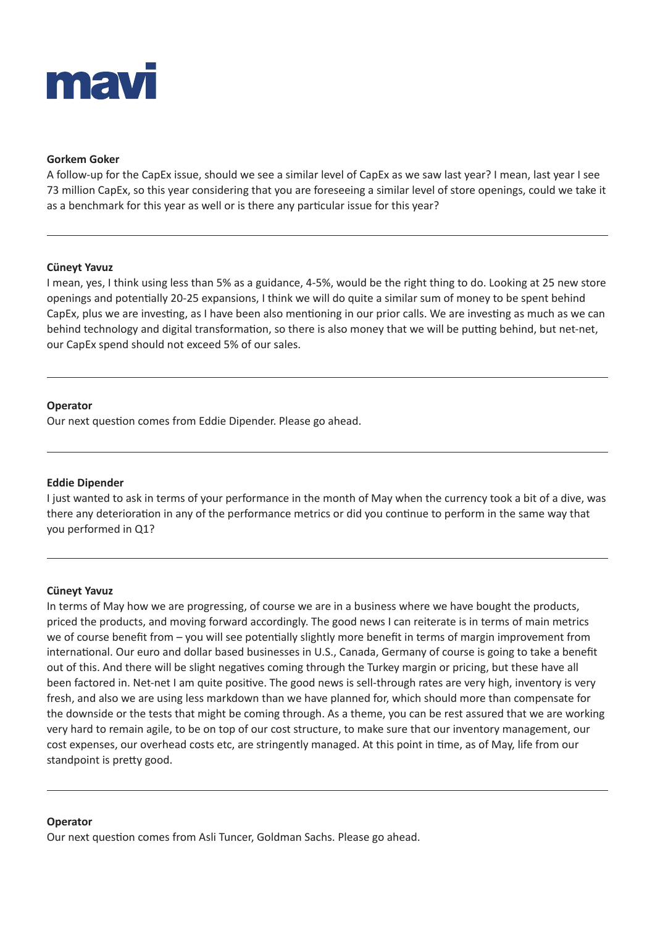

#### **Gorkem Goker**

A follow-up for the CapEx issue, should we see a similar level of CapEx as we saw last year? I mean, last year I see 73 million CapEx, so this year considering that you are foreseeing a similar level of store openings, could we take it as a benchmark for this year as well or is there any particular issue for this year?

#### **Cüneyt Yavuz**

I mean, yes, I think using less than 5% as a guidance, 4-5%, would be the right thing to do. Looking at 25 new store openings and potentially 20-25 expansions, I think we will do quite a similar sum of money to be spent behind CapEx, plus we are investing, as I have been also mentioning in our prior calls. We are investing as much as we can behind technology and digital transformation, so there is also money that we will be putting behind, but net-net, our CapEx spend should not exceed 5% of our sales.

#### **Operator**

Our next question comes from Eddie Dipender. Please go ahead.

## **Eddie Dipender**

I just wanted to ask in terms of your performance in the month of May when the currency took a bit of a dive, was there any deterioration in any of the performance metrics or did you continue to perform in the same way that you performed in Q1?

#### **Cüneyt Yavuz**

In terms of May how we are progressing, of course we are in a business where we have bought the products, priced the products, and moving forward accordingly. The good news I can reiterate is in terms of main metrics we of course benefit from – you will see potentially slightly more benefit in terms of margin improvement from international. Our euro and dollar based businesses in U.S., Canada, Germany of course is going to take a benefit out of this. And there will be slight negatives coming through the Turkey margin or pricing, but these have all been factored in. Net-net I am quite positive. The good news is sell-through rates are very high, inventory is very fresh, and also we are using less markdown than we have planned for, which should more than compensate for the downside or the tests that might be coming through. As a theme, you can be rest assured that we are working very hard to remain agile, to be on top of our cost structure, to make sure that our inventory management, our cost expenses, our overhead costs etc, are stringently managed. At this point in time, as of May, life from our standpoint is pretty good.

#### **Operator**

Our next question comes from Asli Tuncer, Goldman Sachs. Please go ahead.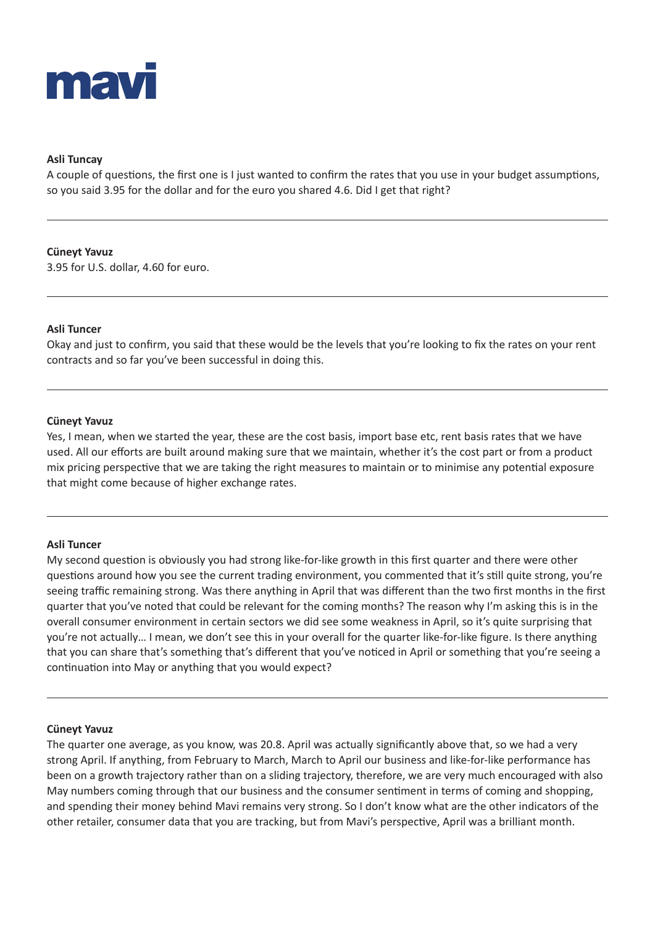

# **Asli Tuncay**

A couple of questions, the first one is I just wanted to confirm the rates that you use in your budget assumptions, so you said 3.95 for the dollar and for the euro you shared 4.6. Did I get that right?

## **Cüneyt Yavuz**

3.95 for U.S. dollar, 4.60 for euro.

## **Asli Tuncer**

Okay and just to confirm, you said that these would be the levels that you're looking to fix the rates on your rent contracts and so far you've been successful in doing this.

## **Cüneyt Yavuz**

Yes, I mean, when we started the year, these are the cost basis, import base etc, rent basis rates that we have used. All our efforts are built around making sure that we maintain, whether it's the cost part or from a product mix pricing perspective that we are taking the right measures to maintain or to minimise any potential exposure that might come because of higher exchange rates.

## **Asli Tuncer**

My second question is obviously you had strong like-for-like growth in this first quarter and there were other questions around how you see the current trading environment, you commented that it's still quite strong, you're seeing traffic remaining strong. Was there anything in April that was different than the two first months in the first quarter that you've noted that could be relevant for the coming months? The reason why I'm asking this is in the overall consumer environment in certain sectors we did see some weakness in April, so it's quite surprising that you're not actually… I mean, we don't see this in your overall for the quarter like-for-like figure. Is there anything that you can share that's something that's different that you've noticed in April or something that you're seeing a continuation into May or anything that you would expect?

## **Cüneyt Yavuz**

The quarter one average, as you know, was 20.8. April was actually significantly above that, so we had a very strong April. If anything, from February to March, March to April our business and like-for-like performance has been on a growth trajectory rather than on a sliding trajectory, therefore, we are very much encouraged with also May numbers coming through that our business and the consumer sentiment in terms of coming and shopping, and spending their money behind Mavi remains very strong. So I don't know what are the other indicators of the other retailer, consumer data that you are tracking, but from Mavi's perspective, April was a brilliant month.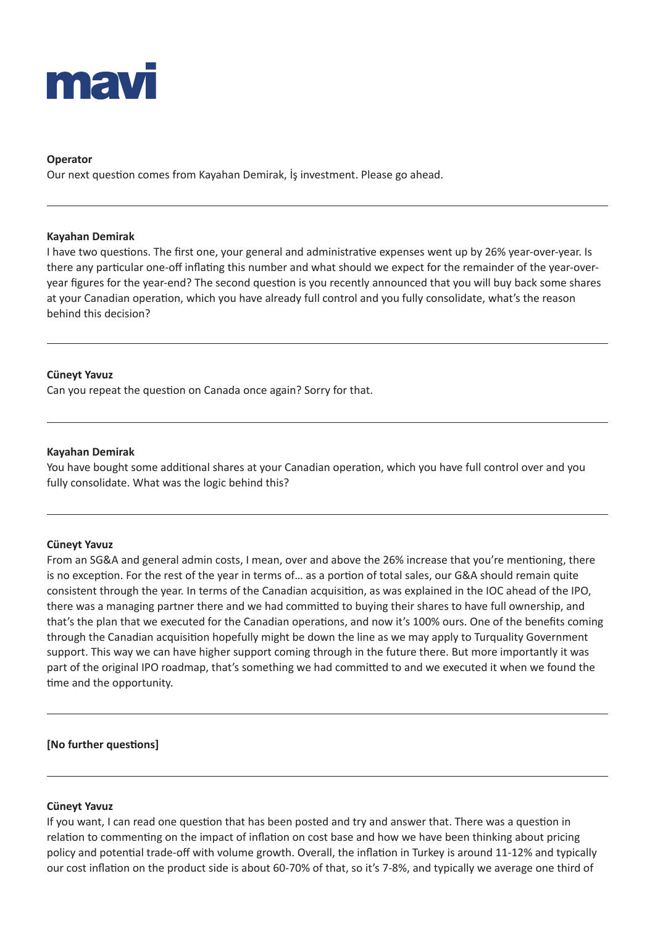

## **Operator**

Our next question comes from Kayahan Demirak, İş investment. Please go ahead.

#### **Kayahan Demirak**

I have two questions. The first one, your general and administrative expenses went up by 26% year-over-year. Is there any particular one-off inflating this number and what should we expect for the remainder of the year-overyear figures for the year-end? The second question is you recently announced that you will buy back some shares at your Canadian operation, which you have already full control and you fully consolidate, what's the reason behind this decision?

## **Cüneyt Yavuz**

Can you repeat the question on Canada once again? Sorry for that.

## **Kayahan Demirak**

You have bought some additional shares at your Canadian operation, which you have full control over and you fully consolidate. What was the logic behind this?

## **Cüneyt Yavuz**

From an SG&A and general admin costs, I mean, over and above the 26% increase that you're mentioning, there is no exception. For the rest of the year in terms of… as a portion of total sales, our G&A should remain quite consistent through the year. In terms of the Canadian acquisition, as was explained in the IOC ahead of the IPO, there was a managing partner there and we had committed to buying their shares to have full ownership, and that's the plan that we executed for the Canadian operations, and now it's 100% ours. One of the benefits coming through the Canadian acquisition hopefully might be down the line as we may apply to Turquality Government support. This way we can have higher support coming through in the future there. But more importantly it was part of the original IPO roadmap, that's something we had committed to and we executed it when we found the time and the opportunity.

## **[No further questions]**

## **Cüneyt Yavuz**

If you want, I can read one question that has been posted and try and answer that. There was a question in relation to commenting on the impact of inflation on cost base and how we have been thinking about pricing policy and potential trade-off with volume growth. Overall, the inflation in Turkey is around 11-12% and typically our cost inflation on the product side is about 60-70% of that, so it's 7-8%, and typically we average one third of